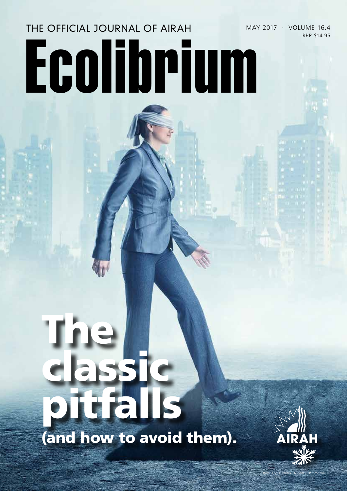# Ecolibrium THE OFFICIAL JOURNAL OF AIRAH

## The classic pitfalls (and how to avoid them).



**OST APPROVAL NUMBER PP352532/0001** 

MAY 2017 · VOLUME 16.4 RRP \$14.95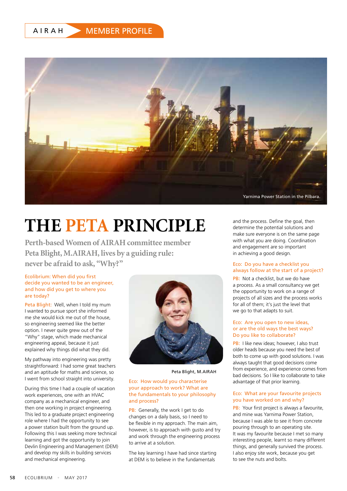AIRAH MEMBER PROFILE



### **THE PETA PRINCIPLE**

**Perth-based Women of AIRAH committee member Peta Blight, M.AIRAH, lives by a guiding rule: never be afraid to ask, "Why?"**

#### Ecolibrium: When did you first decide you wanted to be an engineer, and how did you get to where you are today?

Peta Blight: Well, when I told my mum I wanted to pursue sport she informed me she would kick me out of the house, so engineering seemed like the better option. I never quite grew out of the "Why" stage, which made mechanical engineering appeal, because it just explained why things did what they did.

My pathway into engineering was pretty straightforward: I had some great teachers and an aptitude for maths and science, so I went from school straight into university.

During this time I had a couple of vacation work experiences, one with an HVAC company as a mechanical engineer, and then one working in project engineering. This led to a graduate project engineering role where I had the opportunity to see a power station built from the ground up. Following this I was seeking more technical learning and got the opportunity to join Devlin Engineering and Management (DEM) and develop my skills in building services and mechanical engineering.



Peta Blight, M.AIRAH

#### Eco: How would you characterise your approach to work? What are the fundamentals to your philosophy and process?

PB: Generally, the work I get to do changes on a daily basis, so I need to be flexible in my approach. The main aim, however, is to approach with gusto and try and work through the engineering process to arrive at a solution.

The key learning I have had since starting at DEM is to believe in the fundamentals

and the process. Define the goal, then determine the potential solutions and make sure everyone is on the same page with what you are doing. Coordination and engagement are so important in achieving a good design.

#### Eco: Do you have a checklist you always follow at the start of a project?

**PB:** Not a checklist, but we do have a process. As a small consultancy we get the opportunity to work on a range of projects of all sizes and the process works for all of them; it's just the level that we go to that adapts to suit.

#### Eco: Are you open to new ideas, or are the old ways the best ways? Do you like to collaborate?

PB: I like new ideas; however, I also trust older heads because you need the best of both to come up with good solutions. I was always taught that good decisions come from experience, and experience comes from bad decisions. So I like to collaborate to take advantage of that prior learning.

#### Eco: What are your favourite projects you have worked on and why?

PB: Your first project is always a favourite, and mine was Yarnima Power Station, because I was able to see it from concrete pouring through to an operating site. It was my favourite because I met so many interesting people, learnt so many different things, and generally survived the process. I also enjoy site work, because you get to see the nuts and bolts.